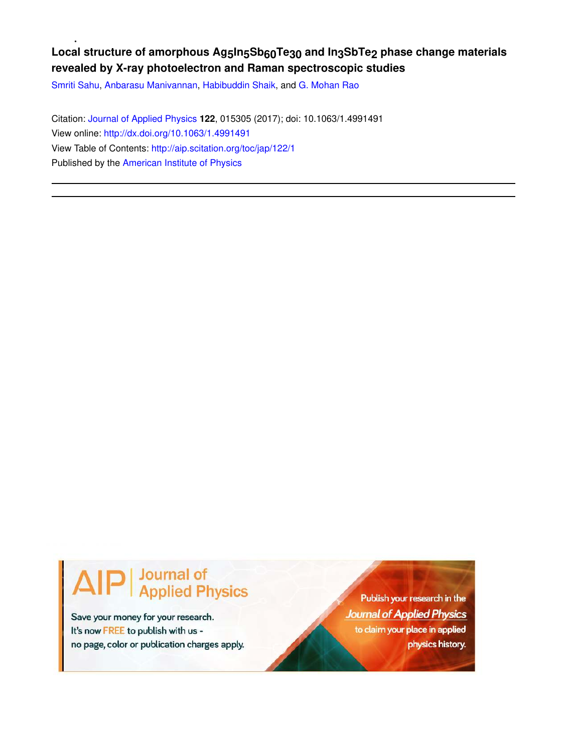## Local structure of amorphous Ag<sub>5</sub>In<sub>5</sub>Sb<sub>60</sub>Te<sub>30</sub> and In<sub>3</sub>SbTe<sub>2</sub> phase change materials **revealed by X-ray photoelectron and Raman spectroscopic studies**

Smriti Sahu, Anbarasu Manivannan, Habibuddin Shaik, and G. Mohan Rao

Citation: Journal of Applied Physics **122**, 015305 (2017); doi: 10.1063/1.4991491 View online: http://dx.doi.org/10.1063/1.4991491 View Table of Contents: http://aip.scitation.org/toc/jap/122/1 Published by the American Institute of Physics

# **Journal of<br>Applied Physics**

Save your money for your research. It's now FREE to publish with us no page, color or publication charges apply.

Publish your research in the **Journal of Applied Physics** to claim your place in applied physics history.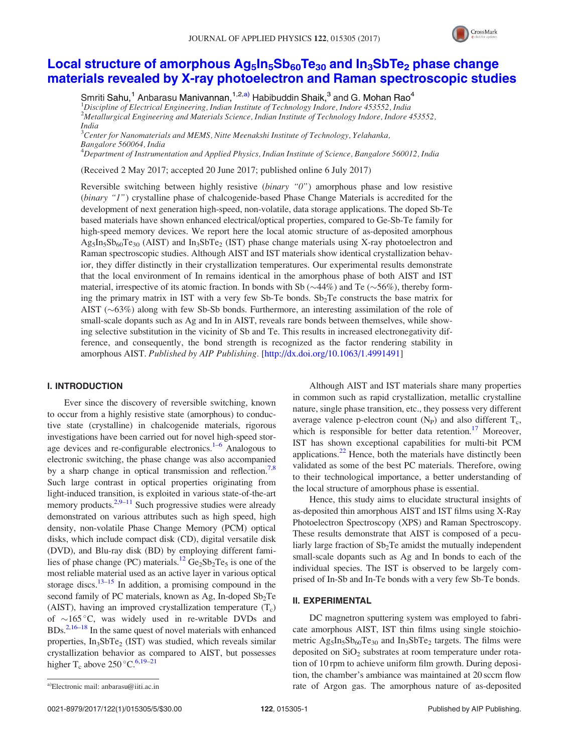

### Local structure of amorphous  $Ag_5In_5Sb_{60}Te_{30}$  and  $In_3SbTe_2$  phase change materials revealed by X-ray photoelectron and Raman spectroscopic studies

Smriti Sahu,<sup>1</sup> Anbarasu Manivannan,<sup>1,2,a)</sup> Habibuddin Shaik,<sup>3</sup> and G. Mohan Rao<sup>4</sup> <sup>1</sup>*Discipline of Electrical Engineering, Indian Institute of Technology Indore, Indore 453552, India* <sup>2</sup>*Metallurgical Engineering and Materials Science, Indian Institute of Technology Indore, Indore 453552, India* <sup>3</sup>*Center for Nanomaterials and MEMS, Nitte Meenakshi Institute of Technology, Yelahanka,*

*Bangalore 560064, India* <sup>4</sup>*Department of Instrumentation and Applied Physics, Indian Institute of Science, Bangalore 560012, India*

(Received 2 May 2017; accepted 20 June 2017; published online 6 July 2017)

Reversible switching between highly resistive (*binary "0"*) amorphous phase and low resistive (*binary "1"*) crystalline phase of chalcogenide-based Phase Change Materials is accredited for the development of next generation high-speed, non-volatile, data storage applications. The doped Sb-Te based materials have shown enhanced electrical/optical properties, compared to Ge-Sb-Te family for high-speed memory devices. We report here the local atomic structure of as-deposited amorphous  $Ag_5In_5Sb_{60}Te_{30}$  (AIST) and In<sub>3</sub>SbTe<sub>2</sub> (IST) phase change materials using X-ray photoelectron and Raman spectroscopic studies. Although AIST and IST materials show identical crystallization behavior, they differ distinctly in their crystallization temperatures. Our experimental results demonstrate that the local environment of In remains identical in the amorphous phase of both AIST and IST material, irrespective of its atomic fraction. In bonds with Sb  $(\sim$ 44%) and Te  $(\sim$ 56%), thereby forming the primary matrix in IST with a very few Sb-Te bonds.  $Sb<sub>2</sub>Te$  constructs the base matrix for AIST  $(\sim 63\%)$  along with few Sb-Sb bonds. Furthermore, an interesting assimilation of the role of small-scale dopants such as Ag and In in AIST, reveals rare bonds between themselves, while showing selective substitution in the vicinity of Sb and Te. This results in increased electronegativity difference, and consequently, the bond strength is recognized as the factor rendering stability in amorphous AIST. *Published by AIP Publishing.* [http://dx.doi.org/10.1063/1.4991491]

#### I. INTRODUCTION

Ever since the discovery of reversible switching, known to occur from a highly resistive state (amorphous) to conductive state (crystalline) in chalcogenide materials, rigorous investigations have been carried out for novel high-speed storage devices and re-configurable electronics. $1-6$  Analogous to electronic switching, the phase change was also accompanied by a sharp change in optical transmission and reflection.<sup>7,8</sup> Such large contrast in optical properties originating from light-induced transition, is exploited in various state-of-the-art memory products. $2.9-11$  Such progressive studies were already demonstrated on various attributes such as high speed, high density, non-volatile Phase Change Memory (PCM) optical disks, which include compact disk (CD), digital versatile disk (DVD), and Blu-ray disk (BD) by employing different families of phase change (PC) materials.<sup>12</sup>  $Ge_2Sb_2Te_5$  is one of the most reliable material used as an active layer in various optical storage discs. $13-15$  In addition, a promising compound in the second family of PC materials, known as Ag, In-doped  $Sb<sub>2</sub>Te$ (AIST), having an improved crystallization temperature  $(T_c)$ of  $\sim$ 165 °C, was widely used in re-writable DVDs and  $BDS<sub>0</sub><sup>2,16–18</sup>$  In the same quest of novel materials with enhanced properties, In<sub>3</sub>SbTe<sub>2</sub> (IST) was studied, which reveals similar crystallization behavior as compared to AIST, but possesses higher T<sub>c</sub> above 250 °C.<sup>6,19–21</sup>

Although AIST and IST materials share many properties in common such as rapid crystallization, metallic crystalline nature, single phase transition, etc., they possess very different average valence p-electron count  $(N_P)$  and also different  $T_c$ , which is responsible for better data retention.<sup>17</sup> Moreover, IST has shown exceptional capabilities for multi-bit PCM applications. $^{22}$  Hence, both the materials have distinctly been validated as some of the best PC materials. Therefore, owing to their technological importance, a better understanding of the local structure of amorphous phase is essential.

Hence, this study aims to elucidate structural insights of as-deposited thin amorphous AIST and IST films using X-Ray Photoelectron Spectroscopy (XPS) and Raman Spectroscopy. These results demonstrate that AIST is composed of a peculiarly large fraction of Sb<sub>2</sub>Te amidst the mutually independent small-scale dopants such as Ag and In bonds to each of the individual species. The IST is observed to be largely comprised of In-Sb and In-Te bonds with a very few Sb-Te bonds.

#### II. EXPERIMENTAL

DC magnetron sputtering system was employed to fabricate amorphous AIST, IST thin films using single stoichiometric  $\text{Ag}_5\text{In}_5\text{Sb}_{60}\text{Te}_{30}$  and  $\text{In}_3\text{Sb}\text{Te}_2$  targets. The films were deposited on  $SiO<sub>2</sub>$  substrates at room temperature under rotation of 10 rpm to achieve uniform film growth. During deposition, the chamber's ambiance was maintained at 20 sccm flow rate of Argon gas. The amorphous nature of as-deposited a)Electronic mail: anbarasu@iiti.ac.in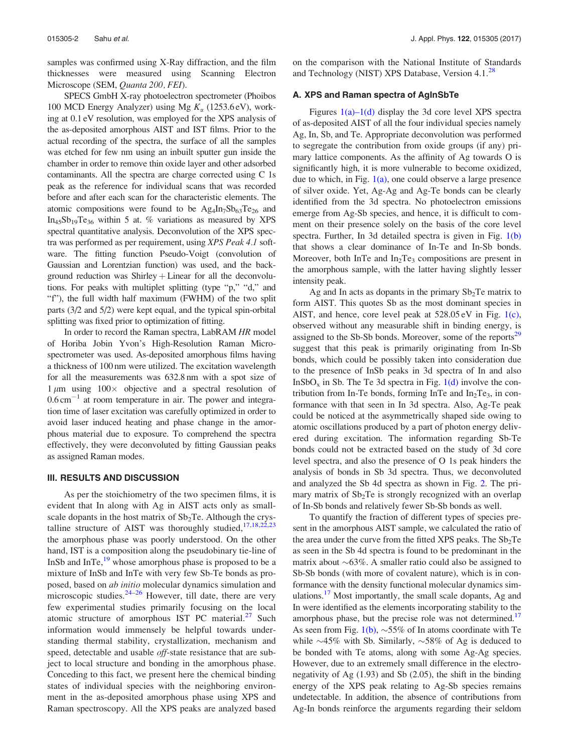samples was confirmed using X-Ray diffraction, and the film thicknesses were measured using Scanning Electron Microscope (SEM, *Quanta 200, FEI*).

SPECS GmbH X-ray photoelectron spectrometer (Phoibos 100 MCD Energy Analyzer) using Mg  $K_{\alpha}$  (1253.6 eV), working at 0.1 eV resolution, was employed for the XPS analysis of the as-deposited amorphous AIST and IST films. Prior to the actual recording of the spectra, the surface of all the samples was etched for few nm using an inbuilt sputter gun inside the chamber in order to remove thin oxide layer and other adsorbed contaminants. All the spectra are charge corrected using C 1s peak as the reference for individual scans that was recorded before and after each scan for the characteristic elements. The atomic compositions were found to be  $\text{Ag}_4\text{In}_7\text{Sb}_{63}\text{Te}_{26}$  and  $In<sub>45</sub>Sb<sub>19</sub>Te<sub>36</sub>$  within 5 at. % variations as measured by XPS spectral quantitative analysis. Deconvolution of the XPS spectra was performed as per requirement, using *XPS Peak 4.1* software. The fitting function Pseudo-Voigt (convolution of Gaussian and Lorentzian function) was used, and the background reduction was  $Shiftey + Linear$  for all the deconvolutions. For peaks with multiplet splitting (type "p," "d," and "f"), the full width half maximum (FWHM) of the two split parts (3/2 and 5/2) were kept equal, and the typical spin-orbital splitting was fixed prior to optimization of fitting.

In order to record the Raman spectra, LabRAM *HR* model of Horiba Jobin Yvon's High-Resolution Raman Microspectrometer was used. As-deposited amorphous films having a thickness of 100 nm were utilized. The excitation wavelength for all the measurements was 632.8 nm with a spot size of  $1 \mu m$  using  $100 \times$  objective and a spectral resolution of  $0.6 \text{ cm}^{-1}$  at room temperature in air. The power and integration time of laser excitation was carefully optimized in order to avoid laser induced heating and phase change in the amorphous material due to exposure. To comprehend the spectra effectively, they were deconvoluted by fitting Gaussian peaks as assigned Raman modes.

#### III. RESULTS AND DISCUSSION

As per the stoichiometry of the two specimen films, it is evident that In along with Ag in AIST acts only as smallscale dopants in the host matrix of  $Sb<sub>2</sub>Te$ . Although the crystalline structure of AIST was thoroughly studied, $17,18,22,23$ the amorphous phase was poorly understood. On the other hand, IST is a composition along the pseudobinary tie-line of InSb and  $InTe<sub>19</sub>$ <sup>19</sup> whose amorphous phase is proposed to be a mixture of InSb and InTe with very few Sb-Te bonds as proposed, based on *ab initio* molecular dynamics simulation and microscopic studies. $24-26$  However, till date, there are very few experimental studies primarily focusing on the local atomic structure of amorphous IST PC material. $27$  Such information would immensely be helpful towards understanding thermal stability, crystallization, mechanism and speed, detectable and usable *off*-state resistance that are subject to local structure and bonding in the amorphous phase. Conceding to this fact, we present here the chemical binding states of individual species with the neighboring environment in the as-deposited amorphous phase using XPS and Raman spectroscopy. All the XPS peaks are analyzed based on the comparison with the National Institute of Standards and Technology (NIST) XPS Database, Version 4.1.<sup>28</sup>

#### A. XPS and Raman spectra of AgInSbTe

Figures  $1(a)$ – $1(d)$  display the 3d core level XPS spectra of as-deposited AIST of all the four individual species namely Ag, In, Sb, and Te. Appropriate deconvolution was performed to segregate the contribution from oxide groups (if any) primary lattice components. As the affinity of Ag towards O is significantly high, it is more vulnerable to become oxidized, due to which, in Fig.  $1(a)$ , one could observe a large presence of silver oxide. Yet, Ag-Ag and Ag-Te bonds can be clearly identified from the 3d spectra. No photoelectron emissions emerge from Ag-Sb species, and hence, it is difficult to comment on their presence solely on the basis of the core level spectra. Further, In 3d detailed spectra is given in Fig. 1(b) that shows a clear dominance of In-Te and In-Sb bonds. Moreover, both InTe and  $In<sub>2</sub>Te<sub>3</sub>$  compositions are present in the amorphous sample, with the latter having slightly lesser intensity peak.

Ag and In acts as dopants in the primary  $Sb<sub>2</sub>Te$  matrix to form AIST. This quotes Sb as the most dominant species in AIST, and hence, core level peak at 528.05 eV in Fig. 1(c), observed without any measurable shift in binding energy, is assigned to the Sb-Sb bonds. Moreover, some of the reports<sup>29</sup> suggest that this peak is primarily originating from In-Sb bonds, which could be possibly taken into consideration due to the presence of InSb peaks in 3d spectra of In and also InSbO<sub>x</sub> in Sb. The Te 3d spectra in Fig.  $1(d)$  involve the contribution from In-Te bonds, forming InTe and  $In_2Te_3$ , in conformance with that seen in In 3d spectra. Also, Ag-Te peak could be noticed at the asymmetrically shaped side owing to atomic oscillations produced by a part of photon energy delivered during excitation. The information regarding Sb-Te bonds could not be extracted based on the study of 3d core level spectra, and also the presence of O 1s peak hinders the analysis of bonds in Sb 3d spectra. Thus, we deconvoluted and analyzed the Sb 4d spectra as shown in Fig. 2. The primary matrix of  $Sb<sub>2</sub>Te$  is strongly recognized with an overlap of In-Sb bonds and relatively fewer Sb-Sb bonds as well.

To quantify the fraction of different types of species present in the amorphous AIST sample, we calculated the ratio of the area under the curve from the fitted XPS peaks. The  $Sb<sub>2</sub>Te$ as seen in the Sb 4d spectra is found to be predominant in the matrix about  $\sim 63\%$ . A smaller ratio could also be assigned to Sb-Sb bonds (with more of covalent nature), which is in conformance with the density functional molecular dynamics simulations.<sup>17</sup> Most importantly, the small scale dopants, Ag and In were identified as the elements incorporating stability to the amorphous phase, but the precise role was not determined.<sup>17</sup> As seen from Fig.  $1(b)$ ,  $\sim$  55% of In atoms coordinate with Te while  $\sim$ 45% with Sb. Similarly,  $\sim$ 58% of Ag is deduced to be bonded with Te atoms, along with some Ag-Ag species. However, due to an extremely small difference in the electronegativity of Ag (1.93) and Sb (2.05), the shift in the binding energy of the XPS peak relating to Ag-Sb species remains undetectable. In addition, the absence of contributions from Ag-In bonds reinforce the arguments regarding their seldom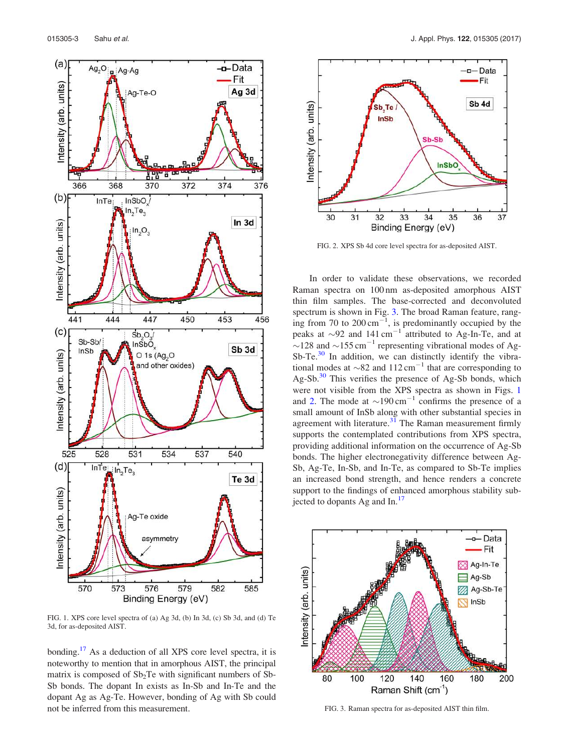

FIG. 1. XPS core level spectra of (a) Ag 3d, (b) In 3d, (c) Sb 3d, and (d) Te 3d, for as-deposited AIST.

bonding.<sup>17</sup> As a deduction of all XPS core level spectra, it is noteworthy to mention that in amorphous AIST, the principal matrix is composed of  $Sb<sub>2</sub>Te$  with significant numbers of Sb-Sb bonds. The dopant In exists as In-Sb and In-Te and the dopant Ag as Ag-Te. However, bonding of Ag with Sb could not be inferred from this measurement.



FIG. 2. XPS Sb 4d core level spectra for as-deposited AIST.

In order to validate these observations, we recorded Raman spectra on 100 nm as-deposited amorphous AIST thin film samples. The base-corrected and deconvoluted spectrum is shown in Fig. 3. The broad Raman feature, ranging from 70 to  $200 \text{ cm}^{-1}$ , is predominantly occupied by the peaks at  $\sim$ 92 and 141 cm<sup>-1</sup> attributed to Ag-In-Te, and at  $\sim$ 128 and  $\sim$ 155 cm<sup>-1</sup> representing vibrational modes of Ag- $Sb-Te<sup>30</sup>$  In addition, we can distinctly identify the vibrational modes at  $\sim$ 82 and 112 cm<sup>-1</sup> that are corresponding to  $Ag-Sb$ .<sup>30</sup> This verifies the presence of Ag-Sb bonds, which were not visible from the XPS spectra as shown in Figs. 1 and 2. The mode at  $\sim$ 190 cm<sup>-1</sup> confirms the presence of a small amount of InSb along with other substantial species in agreement with literature. $31$  The Raman measurement firmly supports the contemplated contributions from XPS spectra, providing additional information on the occurrence of Ag-Sb bonds. The higher electronegativity difference between Ag-Sb, Ag-Te, In-Sb, and In-Te, as compared to Sb-Te implies an increased bond strength, and hence renders a concrete support to the findings of enhanced amorphous stability subjected to dopants Ag and In.<sup>17</sup>



FIG. 3. Raman spectra for as-deposited AIST thin film.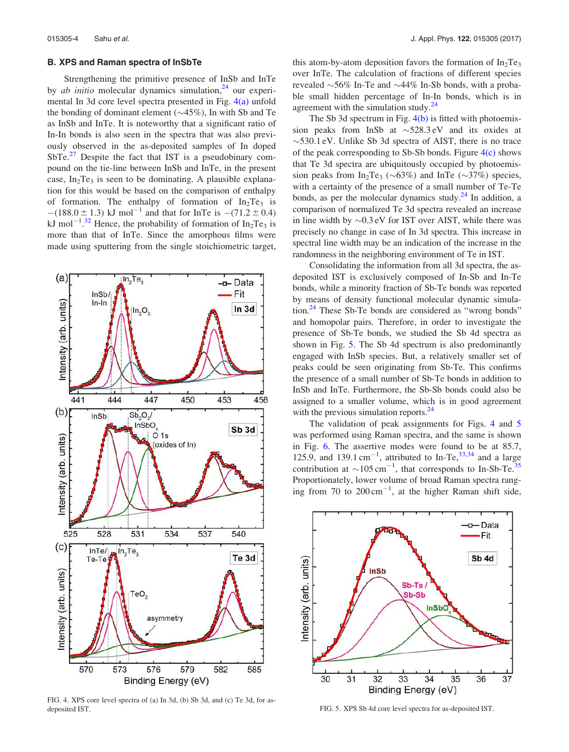#### B. XPS and Raman spectra of InSbTe

Strengthening the primitive presence of InSb and InTe by *ab initio* molecular dynamics simulation,<sup>24</sup> our experimental In 3d core level spectra presented in Fig. 4(a) unfold the bonding of dominant element  $(\sim45\%)$ , In with Sb and Te as InSb and InTe. It is noteworthy that a significant ratio of In-In bonds is also seen in the spectra that was also previously observed in the as-deposited samples of In doped  $SbTe<sup>27</sup>$  Despite the fact that IST is a pseudobinary compound on the tie-line between InSb and InTe, in the present case,  $In_2Te_3$  is seen to be dominating. A plausible explanation for this would be based on the comparison of enthalpy of formation. The enthalpy of formation of  $In_2Te_3$  is  $-(188.0 \pm 1.3)$  kJ mol<sup>-1</sup> and that for InTe is  $-(71.2 \pm 0.4)$ kJ mol<sup>-1</sup>.<sup>32</sup> Hence, the probability of formation of In<sub>2</sub>Te<sub>3</sub> is more than that of InTe. Since the amorphous films were made using sputtering from the single stoichiometric target,



FIG. 4. XPS core level spectra of (a) In 3d, (b) Sb 3d, and (c) Te 3d, for asdeposited IST. **FIG. 5. XPS Sb 4d core level spectra for as-deposited IST.** 

this atom-by-atom deposition favors the formation of  $In_2Te_3$ over InTe. The calculation of fractions of different species revealed  $\sim$ 56% In-Te and  $\sim$ 44% In-Sb bonds, with a probable small hidden percentage of In-In bonds, which is in agreement with the simulation study. $^{24}$ 

The Sb 3d spectrum in Fig.  $4(b)$  is fitted with photoemission peaks from InSb at  $\sim$  528.3 eV and its oxides at  $\sim$  530.1 eV. Unlike Sb 3d spectra of AIST, there is no trace of the peak corresponding to Sb-Sb bonds. Figure  $4(c)$  shows that Te 3d spectra are ubiquitously occupied by photoemission peaks from  $In_2Te_3 (\sim 63\%)$  and InTe  $(\sim 37\%)$  species, with a certainty of the presence of a small number of Te-Te bonds, as per the molecular dynamics study. $^{24}$  In addition, a comparison of normalized Te 3d spectra revealed an increase in line width by  $\sim 0.3$  eV for IST over AIST, while there was precisely no change in case of In 3d spectra. This increase in spectral line width may be an indication of the increase in the randomness in the neighboring environment of Te in IST.

Consolidating the information from all 3d spectra, the asdeposited IST is exclusively composed of In-Sb and In-Te bonds, while a minority fraction of Sb-Te bonds was reported by means of density functional molecular dynamic simulation.<sup>24</sup> These Sb-Te bonds are considered as "wrong bonds" and homopolar pairs. Therefore, in order to investigate the presence of Sb-Te bonds, we studied the Sb 4d spectra as shown in Fig. 5. The Sb 4d spectrum is also predominantly engaged with InSb species. But, a relatively smaller set of peaks could be seen originating from Sb-Te. This confirms the presence of a small number of Sb-Te bonds in addition to InSb and InTe. Furthermore, the Sb-Sb bonds could also be assigned to a smaller volume, which is in good agreement with the previous simulation reports.<sup>24</sup>

The validation of peak assignments for Figs. 4 and 5 was performed using Raman spectra, and the same is shown in Fig. 6. The assertive modes were found to be at 85.7, 125.9, and 139.1 cm<sup>-1</sup>, attributed to In-Te, <sup>33,34</sup> and a large contribution at  $\sim 105 \text{ cm}^{-1}$ , that corresponds to In-Sb-Te.<sup>35</sup> Proportionately, lower volume of broad Raman spectra ranging from 70 to  $200 \text{ cm}^{-1}$ , at the higher Raman shift side,